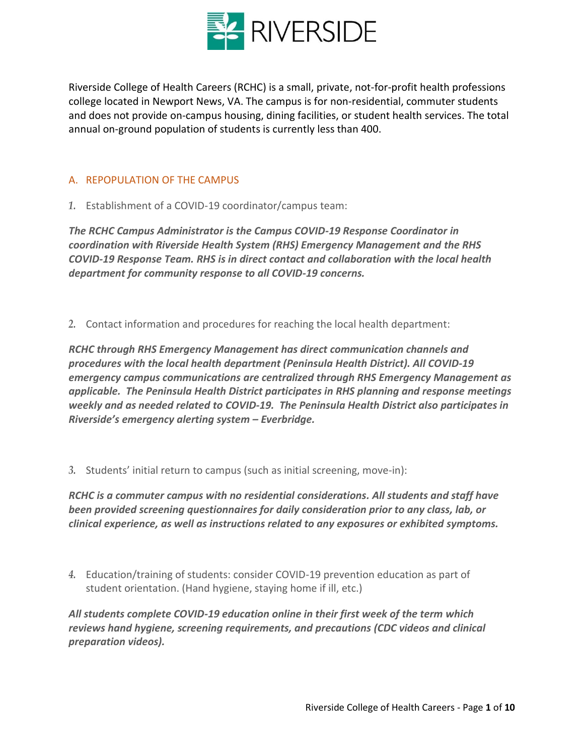

Riverside College of Health Careers (RCHC) is a small, private, not-for-profit health professions college located in Newport News, VA. The campus is for non-residential, commuter students and does not provide on-campus housing, dining facilities, or student health services. The total annual on-ground population of students is currently less than 400.

### A. REPOPULATION OF THE CAMPUS

*1.* Establishment of a COVID-19 coordinator/campus team:

*The RCHC Campus Administrator is the Campus COVID-19 Response Coordinator in coordination with Riverside Health System (RHS) Emergency Management and the RHS COVID-19 Response Team. RHS is in direct contact and collaboration with the local health department for community response to all COVID-19 concerns.*

*2.* Contact information and procedures for reaching the local health department:

*RCHC through RHS Emergency Management has direct communication channels and procedures with the local health department (Peninsula Health District). All COVID-19 emergency campus communications are centralized through RHS Emergency Management as applicable. The Peninsula Health District participates in RHS planning and response meetings weekly and as needed related to COVID-19. The Peninsula Health District also participates in Riverside's emergency alerting system – Everbridge.*

*3.* Students' initial return to campus (such as initial screening, move-in):

*RCHC is a commuter campus with no residential considerations. All students and staff have been provided screening questionnaires for daily consideration prior to any class, lab, or clinical experience, as well as instructions related to any exposures or exhibited symptoms.*

*4.* Education/training of students: consider COVID-19 prevention education as part of student orientation. (Hand hygiene, staying home if ill, etc.)

*All students complete COVID-19 education online in their first week of the term which reviews hand hygiene, screening requirements, and precautions (CDC videos and clinical preparation videos).*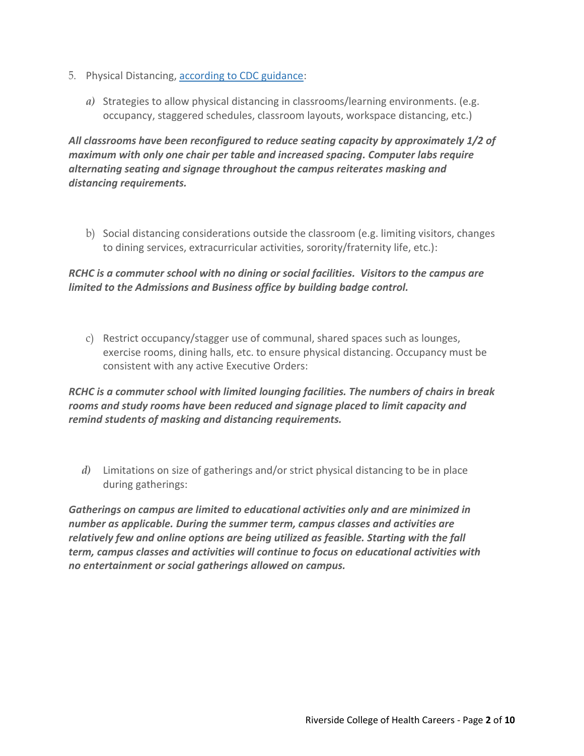- 5. Physical Distancing, [according to CDC guidance:](https://www.cdc.gov/coronavirus/2019-ncov/community/colleges-universities/considerations.html)
	- *a)* Strategies to allow physical distancing in classrooms/learning environments. (e.g. occupancy, staggered schedules, classroom layouts, workspace distancing, etc.)

*All classrooms have been reconfigured to reduce seating capacity by approximately 1/2 of maximum with only one chair per table and increased spacing. Computer labs require alternating seating and signage throughout the campus reiterates masking and distancing requirements.*

b) Social distancing considerations outside the classroom (e.g. limiting visitors, changes to dining services, extracurricular activities, sorority/fraternity life, etc.):

# *RCHC is a commuter school with no dining or social facilities. Visitors to the campus are limited to the Admissions and Business office by building badge control.*

c) Restrict occupancy/stagger use of communal, shared spaces such as lounges, exercise rooms, dining halls, etc. to ensure physical distancing. Occupancy must be consistent with any active Executive Orders:

*RCHC is a commuter school with limited lounging facilities. The numbers of chairs in break rooms and study rooms have been reduced and signage placed to limit capacity and remind students of masking and distancing requirements.*

*d)* Limitations on size of gatherings and/or strict physical distancing to be in place during gatherings:

*Gatherings on campus are limited to educational activities only and are minimized in number as applicable. During the summer term, campus classes and activities are relatively few and online options are being utilized as feasible. Starting with the fall term, campus classes and activities will continue to focus on educational activities with no entertainment or social gatherings allowed on campus.*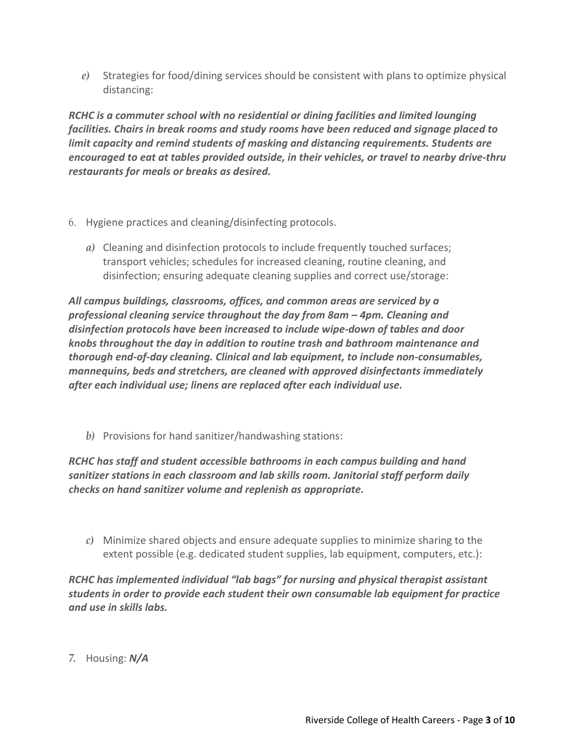*e)* Strategies for food/dining services should be consistent with plans to optimize physical distancing:

*RCHC is a commuter school with no residential or dining facilities and limited lounging facilities. Chairs in break rooms and study rooms have been reduced and signage placed to limit capacity and remind students of masking and distancing requirements. Students are encouraged to eat at tables provided outside, in their vehicles, or travel to nearby drive-thru restaurants for meals or breaks as desired.*

- 6. Hygiene practices and cleaning/disinfecting protocols.
	- *a)* Cleaning and disinfection protocols to include frequently touched surfaces; transport vehicles; schedules for increased cleaning, routine cleaning, and disinfection; ensuring adequate cleaning supplies and correct use/storage:

*All campus buildings, classrooms, offices, and common areas are serviced by a professional cleaning service throughout the day from 8am – 4pm. Cleaning and disinfection protocols have been increased to include wipe-down of tables and door knobs throughout the day in addition to routine trash and bathroom maintenance and thorough end-of-day cleaning. Clinical and lab equipment, to include non-consumables, mannequins, beds and stretchers, are cleaned with approved disinfectants immediately after each individual use; linens are replaced after each individual use.*

*b)* Provisions for hand sanitizer/handwashing stations:

*RCHC has staff and student accessible bathrooms in each campus building and hand sanitizer stations in each classroom and lab skills room. Janitorial staff perform daily checks on hand sanitizer volume and replenish as appropriate.*

*c)* Minimize shared objects and ensure adequate supplies to minimize sharing to the extent possible (e.g. dedicated student supplies, lab equipment, computers, etc.):

*RCHC has implemented individual "lab bags" for nursing and physical therapist assistant students in order to provide each student their own consumable lab equipment for practice and use in skills labs.*

*7.* Housing: *N/A*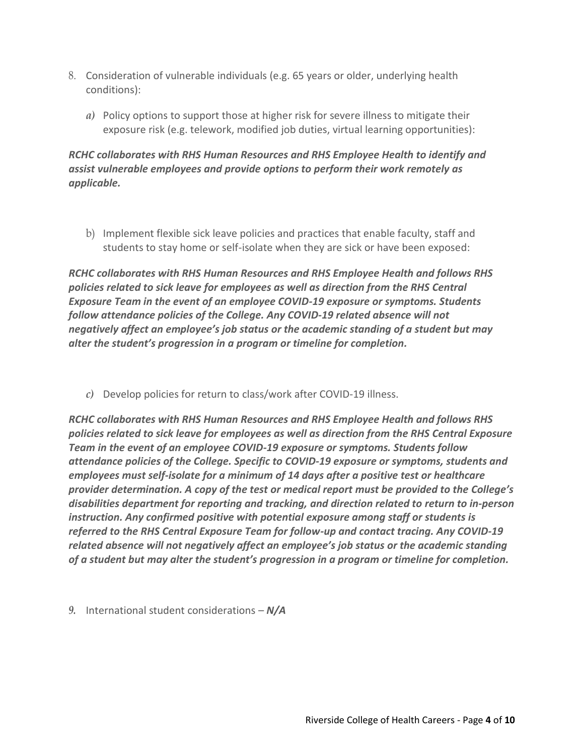- 8. Consideration of vulnerable individuals (e.g. 65 years or older, underlying health conditions):
	- *a)* Policy options to support those at higher risk for severe illness to mitigate their exposure risk (e.g. telework, modified job duties, virtual learning opportunities):

# *RCHC collaborates with RHS Human Resources and RHS Employee Health to identify and assist vulnerable employees and provide options to perform their work remotely as applicable.*

b) Implement flexible sick leave policies and practices that enable faculty, staff and students to stay home or self-isolate when they are sick or have been exposed:

*RCHC collaborates with RHS Human Resources and RHS Employee Health and follows RHS policies related to sick leave for employees as well as direction from the RHS Central Exposure Team in the event of an employee COVID-19 exposure or symptoms. Students follow attendance policies of the College. Any COVID-19 related absence will not negatively affect an employee's job status or the academic standing of a student but may alter the student's progression in a program or timeline for completion.*

*c)* Develop policies for return to class/work after COVID-19 illness.

*RCHC collaborates with RHS Human Resources and RHS Employee Health and follows RHS policies related to sick leave for employees as well as direction from the RHS Central Exposure Team in the event of an employee COVID-19 exposure or symptoms. Students follow attendance policies of the College. Specific to COVID-19 exposure or symptoms, students and employees must self-isolate for a minimum of 14 days after a positive test or healthcare provider determination. A copy of the test or medical report must be provided to the College's disabilities department for reporting and tracking, and direction related to return to in-person instruction. Any confirmed positive with potential exposure among staff or students is referred to the RHS Central Exposure Team for follow-up and contact tracing. Any COVID-19 related absence will not negatively affect an employee's job status or the academic standing of a student but may alter the student's progression in a program or timeline for completion.*

*9.* International student considerations – *N/A*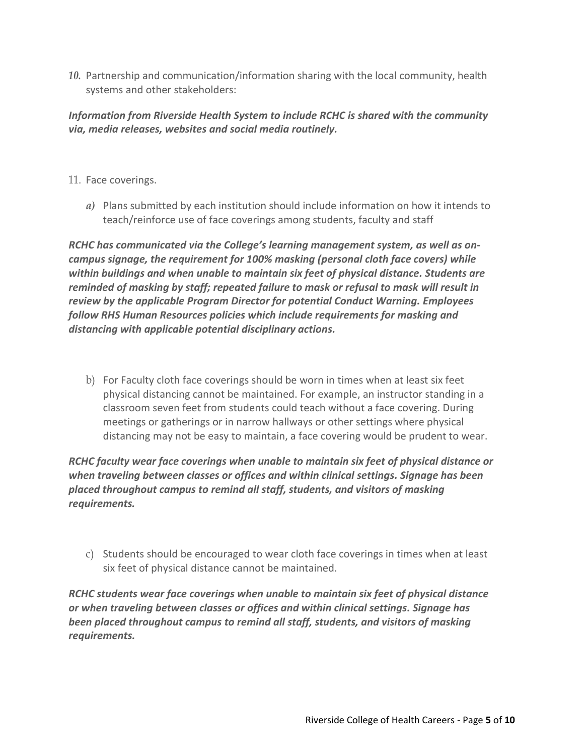*10.* Partnership and communication/information sharing with the local community, health systems and other stakeholders:

# *Information from Riverside Health System to include RCHC is shared with the community via, media releases, websites and social media routinely.*

- 11. Face coverings.
	- *a)* Plans submitted by each institution should include information on how it intends to teach/reinforce use of face coverings among students, faculty and staff

*RCHC has communicated via the College's learning management system, as well as oncampus signage, the requirement for 100% masking (personal cloth face covers) while within buildings and when unable to maintain six feet of physical distance. Students are reminded of masking by staff; repeated failure to mask or refusal to mask will result in review by the applicable Program Director for potential Conduct Warning. Employees follow RHS Human Resources policies which include requirements for masking and distancing with applicable potential disciplinary actions.*

b) For Faculty cloth face coverings should be worn in times when at least six feet physical distancing cannot be maintained. For example, an instructor standing in a classroom seven feet from students could teach without a face covering. During meetings or gatherings or in narrow hallways or other settings where physical distancing may not be easy to maintain, a face covering would be prudent to wear.

*RCHC faculty wear face coverings when unable to maintain six feet of physical distance or when traveling between classes or offices and within clinical settings. Signage has been placed throughout campus to remind all staff, students, and visitors of masking requirements.*

c) Students should be encouraged to wear cloth face coverings in times when at least six feet of physical distance cannot be maintained.

*RCHC students wear face coverings when unable to maintain six feet of physical distance or when traveling between classes or offices and within clinical settings. Signage has been placed throughout campus to remind all staff, students, and visitors of masking requirements.*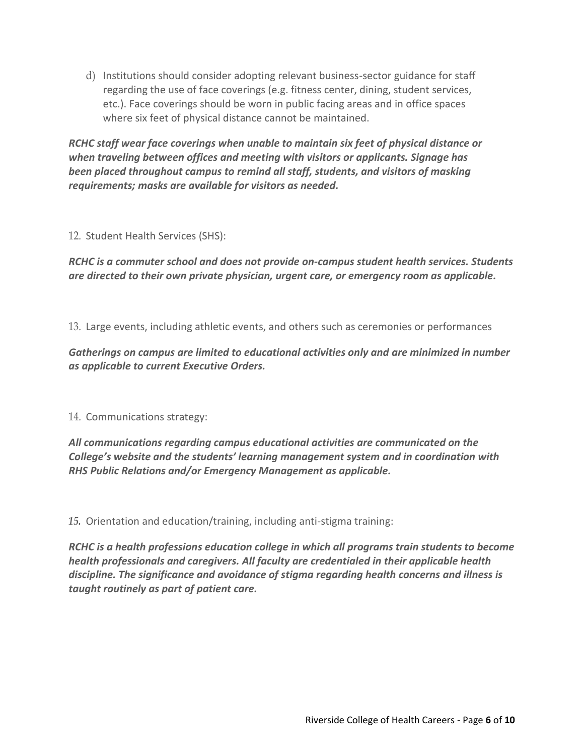d) Institutions should consider adopting relevant business-sector guidance for staff regarding the use of face coverings (e.g. fitness center, dining, student services, etc.). Face coverings should be worn in public facing areas and in office spaces where six feet of physical distance cannot be maintained.

*RCHC staff wear face coverings when unable to maintain six feet of physical distance or when traveling between offices and meeting with visitors or applicants. Signage has been placed throughout campus to remind all staff, students, and visitors of masking requirements; masks are available for visitors as needed.*

### 12. Student Health Services (SHS):

*RCHC is a commuter school and does not provide on-campus student health services. Students are directed to their own private physician, urgent care, or emergency room as applicable.*

13. Large events, including athletic events, and others such as ceremonies or performances

*Gatherings on campus are limited to educational activities only and are minimized in number as applicable to current Executive Orders.*

14. Communications strategy:

*All communications regarding campus educational activities are communicated on the College's website and the students' learning management system and in coordination with RHS Public Relations and/or Emergency Management as applicable.*

*15.* Orientation and education/training, including anti-stigma training:

*RCHC is a health professions education college in which all programs train students to become health professionals and caregivers. All faculty are credentialed in their applicable health discipline. The significance and avoidance of stigma regarding health concerns and illness is taught routinely as part of patient care.*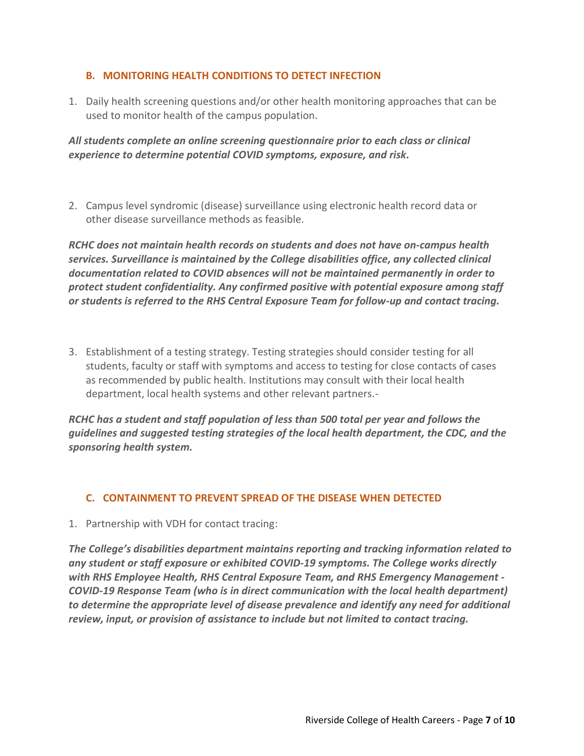#### **B. MONITORING HEALTH CONDITIONS TO DETECT INFECTION**

1. Daily health screening questions and/or other health monitoring approaches that can be used to monitor health of the campus population.

*All students complete an online screening questionnaire prior to each class or clinical experience to determine potential COVID symptoms, exposure, and risk.* 

2. Campus level syndromic (disease) surveillance using electronic health record data or other disease surveillance methods as feasible.

*RCHC does not maintain health records on students and does not have on-campus health services. Surveillance is maintained by the College disabilities office, any collected clinical documentation related to COVID absences will not be maintained permanently in order to protect student confidentiality. Any confirmed positive with potential exposure among staff or students is referred to the RHS Central Exposure Team for follow-up and contact tracing.*

3. Establishment of a testing strategy. Testing strategies should consider testing for all students, faculty or staff with symptoms and access to testing for close contacts of cases as recommended by public health. Institutions may consult with their local health department, local health systems and other relevant partners.-

*RCHC has a student and staff population of less than 500 total per year and follows the guidelines and suggested testing strategies of the local health department, the CDC, and the sponsoring health system.*

### **C. CONTAINMENT TO PREVENT SPREAD OF THE DISEASE WHEN DETECTED**

1. Partnership with VDH for contact tracing:

*The College's disabilities department maintains reporting and tracking information related to any student or staff exposure or exhibited COVID-19 symptoms. The College works directly with RHS Employee Health, RHS Central Exposure Team, and RHS Emergency Management - COVID-19 Response Team (who is in direct communication with the local health department) to determine the appropriate level of disease prevalence and identify any need for additional review, input, or provision of assistance to include but not limited to contact tracing.*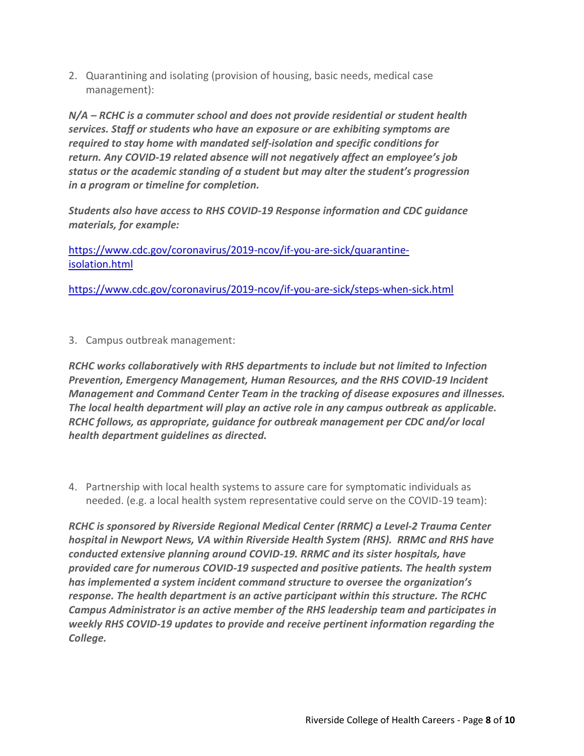2. Quarantining and isolating (provision of housing, basic needs, medical case management):

*N/A – RCHC is a commuter school and does not provide residential or student health services. Staff or students who have an exposure or are exhibiting symptoms are required to stay home with mandated self-isolation and specific conditions for return. Any COVID-19 related absence will not negatively affect an employee's job status or the academic standing of a student but may alter the student's progression in a program or timeline for completion.*

*Students also have access to RHS COVID-19 Response information and CDC guidance materials, for example:*

[https://www.cdc.gov/coronavirus/2019-ncov/if-you-are-sick/quarantine](https://www.cdc.gov/coronavirus/2019-ncov/if-you-are-sick/quarantine-isolation.html)[isolation.html](https://www.cdc.gov/coronavirus/2019-ncov/if-you-are-sick/quarantine-isolation.html)

<https://www.cdc.gov/coronavirus/2019-ncov/if-you-are-sick/steps-when-sick.html>

3. Campus outbreak management:

*RCHC works collaboratively with RHS departments to include but not limited to Infection Prevention, Emergency Management, Human Resources, and the RHS COVID-19 Incident Management and Command Center Team in the tracking of disease exposures and illnesses. The local health department will play an active role in any campus outbreak as applicable. RCHC follows, as appropriate, guidance for outbreak management per CDC and/or local health department guidelines as directed.* 

4. Partnership with local health systems to assure care for symptomatic individuals as needed. (e.g. a local health system representative could serve on the COVID-19 team):

*RCHC is sponsored by Riverside Regional Medical Center (RRMC) a Level-2 Trauma Center hospital in Newport News, VA within Riverside Health System (RHS). RRMC and RHS have conducted extensive planning around COVID-19. RRMC and its sister hospitals, have provided care for numerous COVID-19 suspected and positive patients. The health system has implemented a system incident command structure to oversee the organization's response. The health department is an active participant within this structure. The RCHC Campus Administrator is an active member of the RHS leadership team and participates in weekly RHS COVID-19 updates to provide and receive pertinent information regarding the College.*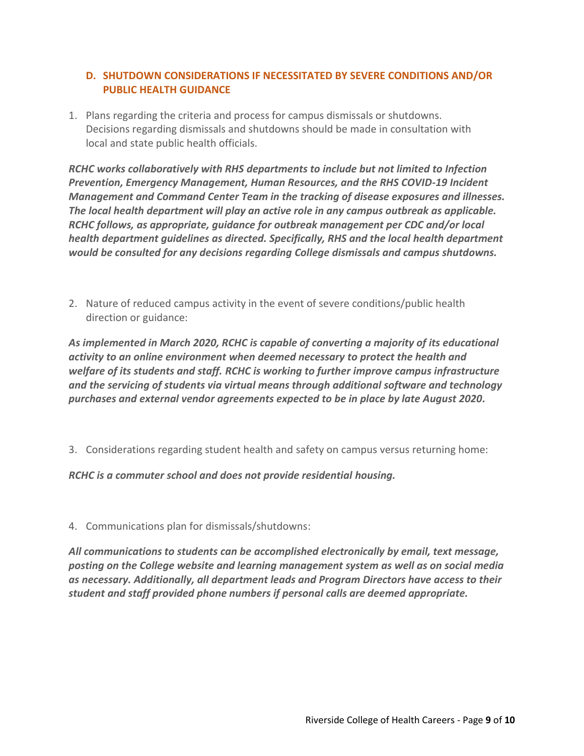### **D. SHUTDOWN CONSIDERATIONS IF NECESSITATED BY SEVERE CONDITIONS AND/OR PUBLIC HEALTH GUIDANCE**

1. Plans regarding the criteria and process for campus dismissals or shutdowns. Decisions regarding dismissals and shutdowns should be made in consultation with local and state public health officials.

*RCHC works collaboratively with RHS departments to include but not limited to Infection Prevention, Emergency Management, Human Resources, and the RHS COVID-19 Incident Management and Command Center Team in the tracking of disease exposures and illnesses. The local health department will play an active role in any campus outbreak as applicable. RCHC follows, as appropriate, guidance for outbreak management per CDC and/or local health department guidelines as directed. Specifically, RHS and the local health department would be consulted for any decisions regarding College dismissals and campus shutdowns.*

2. Nature of reduced campus activity in the event of severe conditions/public health direction or guidance:

*As implemented in March 2020, RCHC is capable of converting a majority of its educational activity to an online environment when deemed necessary to protect the health and welfare of its students and staff. RCHC is working to further improve campus infrastructure and the servicing of students via virtual means through additional software and technology purchases and external vendor agreements expected to be in place by late August 2020.*

3. Considerations regarding student health and safety on campus versus returning home:

*RCHC is a commuter school and does not provide residential housing.*

4. Communications plan for dismissals/shutdowns:

*All communications to students can be accomplished electronically by email, text message, posting on the College website and learning management system as well as on social media as necessary. Additionally, all department leads and Program Directors have access to their student and staff provided phone numbers if personal calls are deemed appropriate.*